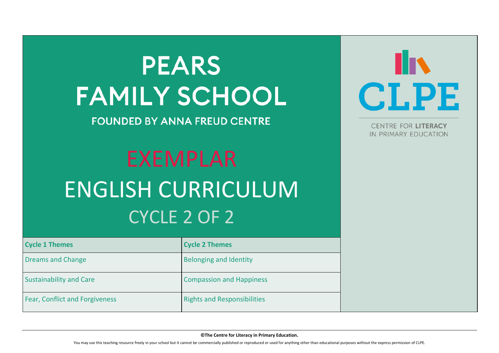# **PEARS FAMILY SCHOOL**

**FOUNDED BY ANNA FREUD CENTRE** 

**©The Centre for Literacy in Primary Education.**

You may use this teaching resource freely in your school but it cannot be commercially published or reproduced or used for anything other than educational purposes without the express permission of CLPE.



# EXEMPLAR ENGLISH CURRICULUM CYCLE 2 OF 2

| <b>Cycle 1 Themes</b>                 | <b>Cycle 2 Themes</b>              |  |
|---------------------------------------|------------------------------------|--|
| <b>Dreams and Change</b>              | <b>Belonging and Identity</b>      |  |
| <b>Sustainability and Care</b>        | <b>Compassion and Happiness</b>    |  |
| <b>Fear, Conflict and Forgiveness</b> | <b>Rights and Responsibilities</b> |  |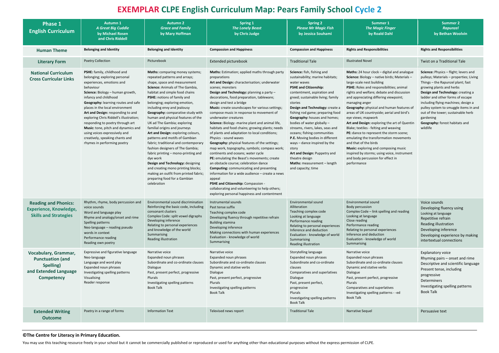### **©The Centre for Literacy in Primary Education.**

You may use this teaching resource freely in your school but it cannot be commercially published or reproduced or used for anything other than educational purposes without the express permission of CLPE.

| ٩<br>۰, | ۹      |  |
|---------|--------|--|
|         | ć<br>ì |  |
|         |        |  |

### **EXEMPLAR CLPE English Curriculum Map: Pears Family School Cycle**

| <b>Phase 1</b><br><b>English Curriculum</b>                                                                | <b>Autumn 1</b><br><b>A Great Big Cuddle</b><br>by Michael Rosen<br>and Chris Riddell                                                                                                                                                                                                                                                                                                                                                                                                                       | <b>Autumn 2</b><br><b>Grace and Family</b><br>by Mary Hoffman                                                                                                                                                                                                                                                                                                                                                                                                                                                                                                                                                                                                                                                                                                                                   | <b>Spring 1</b><br><b>The Lonely Beast</b><br>by Chris Judge                                                                                                                                                                                                                                                                                                                                                                                                                                                                                                                                                                                                                                                                                                                                                                                                                                                                                                                                                                                          | <b>Spring 2</b><br><b>Please Mr Magic Fish</b><br>by Jessica Souhami                                                                                                                                                                                                                                                                                                                                                                                                                                                                                                                           | <b>Summer 1</b><br><b>The Magic Finger</b><br>by Roald Dahl                                                                                                                                                                                                                                                                                                                                                                                                                                                                                                                                                                                                                                                                                                   | <b>Summer 2</b><br><b>Rapunzel</b><br>by Bethan Woolvin                                                                                                                                                                                                                                                                                                                                                     |
|------------------------------------------------------------------------------------------------------------|-------------------------------------------------------------------------------------------------------------------------------------------------------------------------------------------------------------------------------------------------------------------------------------------------------------------------------------------------------------------------------------------------------------------------------------------------------------------------------------------------------------|-------------------------------------------------------------------------------------------------------------------------------------------------------------------------------------------------------------------------------------------------------------------------------------------------------------------------------------------------------------------------------------------------------------------------------------------------------------------------------------------------------------------------------------------------------------------------------------------------------------------------------------------------------------------------------------------------------------------------------------------------------------------------------------------------|-------------------------------------------------------------------------------------------------------------------------------------------------------------------------------------------------------------------------------------------------------------------------------------------------------------------------------------------------------------------------------------------------------------------------------------------------------------------------------------------------------------------------------------------------------------------------------------------------------------------------------------------------------------------------------------------------------------------------------------------------------------------------------------------------------------------------------------------------------------------------------------------------------------------------------------------------------------------------------------------------------------------------------------------------------|------------------------------------------------------------------------------------------------------------------------------------------------------------------------------------------------------------------------------------------------------------------------------------------------------------------------------------------------------------------------------------------------------------------------------------------------------------------------------------------------------------------------------------------------------------------------------------------------|---------------------------------------------------------------------------------------------------------------------------------------------------------------------------------------------------------------------------------------------------------------------------------------------------------------------------------------------------------------------------------------------------------------------------------------------------------------------------------------------------------------------------------------------------------------------------------------------------------------------------------------------------------------------------------------------------------------------------------------------------------------|-------------------------------------------------------------------------------------------------------------------------------------------------------------------------------------------------------------------------------------------------------------------------------------------------------------------------------------------------------------------------------------------------------------|
| <b>Human Theme</b>                                                                                         | <b>Belonging and Identity</b>                                                                                                                                                                                                                                                                                                                                                                                                                                                                               | <b>Belonging and Identity</b>                                                                                                                                                                                                                                                                                                                                                                                                                                                                                                                                                                                                                                                                                                                                                                   | <b>Compassion and Happiness</b>                                                                                                                                                                                                                                                                                                                                                                                                                                                                                                                                                                                                                                                                                                                                                                                                                                                                                                                                                                                                                       | <b>Compassion and Happiness</b>                                                                                                                                                                                                                                                                                                                                                                                                                                                                                                                                                                | <b>Rights and Responsibilities</b>                                                                                                                                                                                                                                                                                                                                                                                                                                                                                                                                                                                                                                                                                                                            | <b>Rights and Responsibilities</b>                                                                                                                                                                                                                                                                                                                                                                          |
| <b>Literary Form</b>                                                                                       | <b>Poetry Collection</b>                                                                                                                                                                                                                                                                                                                                                                                                                                                                                    | Picturebook                                                                                                                                                                                                                                                                                                                                                                                                                                                                                                                                                                                                                                                                                                                                                                                     | Extended picturebook                                                                                                                                                                                                                                                                                                                                                                                                                                                                                                                                                                                                                                                                                                                                                                                                                                                                                                                                                                                                                                  | <b>Traditional Tale</b>                                                                                                                                                                                                                                                                                                                                                                                                                                                                                                                                                                        | <b>Illustrated Novel</b>                                                                                                                                                                                                                                                                                                                                                                                                                                                                                                                                                                                                                                                                                                                                      | Twist on a Traditional Tale                                                                                                                                                                                                                                                                                                                                                                                 |
| <b>National Curriculum</b><br><b>Cross Curricular Links</b>                                                | PSHE: family, childhood and<br>belonging; exploring personal<br>experiences, emotions and<br>behaviour<br>Science: Biology - human growth,<br>infancy and childhood<br>Geography: learning routes and safe<br>places in the local environment<br>Art and Design: responding to and<br>exploring Chris Riddell's illustration;<br>responding to poetry through art<br>Music: tone, pitch and dynamics and<br>using voices expressively and<br>creatively, speaking chants and<br>rhymes in performing poetry | <b>Maths:</b> comparing money systems;<br>repeated patterns and arrays;<br>shape, space and measurement<br>Science: Animals of The Gambia,<br>habitat and simple food chains<br>PSHE: notions of family and<br>belonging; exploring emotion,<br>including envy and jealousy<br>Geography: comparative study with<br>human and physical features of the<br>UK ad The Gambia; exploring<br>familial origins and journeys<br>Art and Design: exploring colours,<br>patterns and motifs of Gambian<br>fabric; traditional and contemporary<br>fashion designers of The Gambia;<br>fabric printing – mono-printing and<br>dye work<br>Design and Technology: designing<br>and creating mono printing blocks;<br>making an outfit from printed fabric;<br>preparing food for a Gambian<br>celebration | Maths: Estimation; applied maths through party<br>preparations<br>Art and Design: characterisation; underwater<br>scenes; monsters<br>Design and Technology: planning a party -<br>decorations, food preparation, tableware;<br>design and test a bridge<br>Music: create soundscapes for various settings;<br>compose music in response to movement of<br>underwater creatures<br>Science: Biology -marine plant and animal life,<br>habitats and food chains; growing plants; needs<br>of plants and adaptation to local conditions;<br>Physics - sound waves<br>Geography: physical features of the settings;<br>map work, topography, symbols; compass work;<br>continents and oceans; water cycle<br>PE: emulating the Beast's movements; create<br>an obstacle course; celebration dance<br><b>Computing:</b> communicating and presenting<br>information for a wide audience – create a news<br>appeal<br>PSHE and Citizenship: Compassion -<br>collaborating and volunteering to help others;<br>exploring personal happiness and contentment | Science: fish, fishing and<br>sustainability; marine habitats;<br>water waves<br><b>PSHE and Citizenship:</b><br>contentment, aspiration and<br>greed; sustainable living; family<br>stories<br>Design and Technology: create a<br>fishing rod game; preparing food<br>Geography: houses and homes;<br>bodies of water globally -<br>streams, rivers, lakes, seas and<br>oceans; fishing communities<br>P.E. Moving bodies in different<br>ways - dance inspired by the<br>story<br>Art and Design: Puppetry and<br>theatre design<br><b>Maths:</b> measurement - length<br>and capacity; time | Maths: 24 hour clock - digital and analogue<br><b>Science:</b> Biology – native birds; Materials –<br>large-scale nest building<br>PSHE: Roles and responsibilities; animal<br>rights and welfare; debate and discussion<br>and appreciating differing viewpoint;<br>managing anger<br>Geography: physical and human features of<br>areas of UK countryside; aerial and bird's<br>eye views; mapwork<br>Art and Design: exploring the art of Quentin<br>Blake; textiles - felting and weaving<br><b>PE:</b> dance to represent the storm scene;<br>emulating the transformation movements<br>and that of the birds<br>Music: exploring and composing music<br>inspired by storms; using voice, instrument<br>and body percussion for effect in<br>performance | Science: Physics - flight; levers and<br>pulleys; Materials - properties; Living<br>Things – the Rapunzel plant; fast<br>growing plants and herbs<br>Design and Technology: creating a<br>ladder and other forms of escape<br>including flying machines; design a<br>pulley system to smuggle items in and<br>out of the tower; sustainable herb<br>gardening<br>Geography: forest habitats and<br>wildlife |
| <b>Reading and Phonics:</b><br><b>Experience, Knowledge,</b><br><b>Skills and Strategies</b>               | voice sounds<br>Word and language play<br>Rhyme and analogy/onset and rime<br>Spelling patterns<br>Neo-language – reading pseudo<br>words in context<br>Performance reading<br>Reading own poetry                                                                                                                                                                                                                                                                                                           | Rhythm, rhyme, body percussion and Environmental sound discrimination<br>Reinforcing the basic code, including<br>consonant clusters<br>Complex Code: split vowel digraphs<br>Developing inference<br>Relating to personal experiences<br>and knowledge of the world<br>Summarising<br>Reading illustration                                                                                                                                                                                                                                                                                                                                                                                                                                                                                     | Instrumental sounds<br>Past tense suffix<br>Teaching complex code<br>Developing fluency through repetitive refrain<br><b>Building stamina</b><br>Developing inference<br>Making connections with human experiences<br>Evaluation - knowledge of world<br>Summarising                                                                                                                                                                                                                                                                                                                                                                                                                                                                                                                                                                                                                                                                                                                                                                                  | Environmental sound<br>Alliteration<br>Teaching complex code<br>Looking at language<br>Performance reading<br>Relating to personal experiences<br>Inference and deduction<br>Evaluation - knowledge of world<br>Summarising<br>Reading illustration                                                                                                                                                                                                                                                                                                                                            | Environmental sound<br>Body percussion<br>Complex Code - link spelling and reading<br>Looking at language<br>Close reading<br>Performance reading<br>Relating to personal experiences<br>Inference and deduction<br>Evaluation - knowledge of world<br>Summarising                                                                                                                                                                                                                                                                                                                                                                                                                                                                                            | Voice sounds<br>Developing fluency using<br>Looking at language<br>Repetitive refrain<br><b>Reading illustration</b><br>Developing inference<br>Developing experience by making<br>intertextual connections                                                                                                                                                                                                 |
| Vocabulary, Grammar,<br><b>Punctuation (and</b><br>Spelling)<br>and Extended Language<br><b>Competency</b> | Expressive and figurative language<br>Neo-language<br>Language and word play<br>Expanded noun phrases<br>Investigating spelling patterns<br>Visualising<br>Reader response                                                                                                                                                                                                                                                                                                                                  | Narrative voice<br>Expanded noun phrases<br>Subordinate and co-ordinate clauses<br>Dialogue<br>Past, present perfect, progressive<br>Plurals<br>Investigating spelling patterns<br><b>Book Talk</b>                                                                                                                                                                                                                                                                                                                                                                                                                                                                                                                                                                                             | Narrative voice<br>Expanded noun phrases<br>Subordinate and co-ordinate clauses<br>Dynamic and stative verbs<br>Dialogue<br>Past, present perfect, progressive<br>Plurals<br>Investigating spelling patterns<br><b>Book Talk</b>                                                                                                                                                                                                                                                                                                                                                                                                                                                                                                                                                                                                                                                                                                                                                                                                                      | Storytelling language<br>Expanded noun phrases<br>Subordinate and co-ordinate<br>clauses<br>Comparatives and superlatives<br>Dialogue<br>Past, present perfect,<br>progressive<br>Plurals<br>Investigating spelling patterns<br><b>Book Talk</b>                                                                                                                                                                                                                                                                                                                                               | Narrative voice<br>Expanded noun phrases<br>Subordinate and co-ordinate clauses<br>Dynamic and stative verbs<br>Dialogue<br>Past, present perfect, progressive<br>Plurals<br>Comparatives and superlatives<br>Investigating spelling patterns - -ed<br><b>Book Talk</b>                                                                                                                                                                                                                                                                                                                                                                                                                                                                                       | <b>Explanatory voice</b><br>Rhyming pairs – onset and rime<br>Descriptive and scientific language<br>Present tense, including<br>progressive<br>Determiners<br>Investigating spelling patterns<br><b>Book Talk</b>                                                                                                                                                                                          |
| <b>Extended Writing</b><br><b>Outcome</b>                                                                  | Poetry in a range of forms                                                                                                                                                                                                                                                                                                                                                                                                                                                                                  | <b>Information Text</b>                                                                                                                                                                                                                                                                                                                                                                                                                                                                                                                                                                                                                                                                                                                                                                         | Televised news report                                                                                                                                                                                                                                                                                                                                                                                                                                                                                                                                                                                                                                                                                                                                                                                                                                                                                                                                                                                                                                 | <b>Traditional Tale</b>                                                                                                                                                                                                                                                                                                                                                                                                                                                                                                                                                                        | Narrative Sequel                                                                                                                                                                                                                                                                                                                                                                                                                                                                                                                                                                                                                                                                                                                                              | Persuasive text                                                                                                                                                                                                                                                                                                                                                                                             |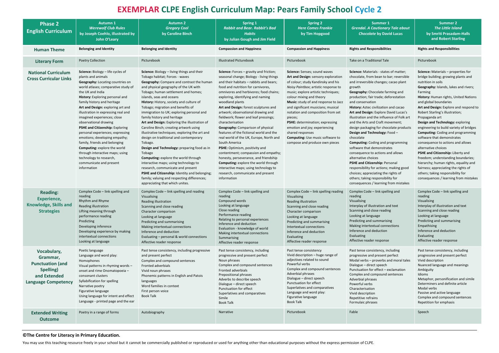### **©The Centre for Literacy in Primary Education.**

You may use this teaching resource freely in your school but it cannot be commercially published or reproduced or used for anything other than educational purposes without the express permission of CLPE.

# **Summer 2** *The Little Island* **by Smriti Prasadam-Halls and Robert Starling**

| <b>Phase 2</b><br><b>English Curriculum</b>                                                                   | <b>Autumn 1</b><br><b>Werewolf Club Rules</b><br>by Joseph Coehlo, illustrated by<br>John O'Leary                                                                                                                                                                                                                                                                                                                                                                                                                                                                                                                                                           | <b>Autumn 2</b><br><b>Gregory Cool</b><br>by Caroline Binch                                                                                                                                                                                                                                                                                                                                                                                                                                                                                                                                                                                                                                                                                                                                                                                                                                                            | <b>Spring 1</b><br><b>Rabbit and Bear. Rabbit's Bad</b><br><b>Habits</b><br>by Julian Gough and Jim Field                                                                                                                                                                                                                                                                                                                                                                                                                                                                                                                                                                                                                                                                                                                            | <b>Spring 2</b><br><b>Here Comes Frankie</b><br>by Tim Hopgood                                                                                                                                                                                                                                                                                                                                                                                                                                                          | Summer 1<br><b>Grendal. A Cautionary Tale about</b><br><b>Chocolate by David Lucas</b>                                                                                                                                                                                                                                                                                                                                                                                                                                                                                                                                                                                                                                                                                                                                                     | <b>Summer 2</b><br>The Little Islan<br>by Smriti Prasadan<br>and Robert Star                                                                                                                                                                                                                                                                                                                                                                                                                                                                                                                                                            |
|---------------------------------------------------------------------------------------------------------------|-------------------------------------------------------------------------------------------------------------------------------------------------------------------------------------------------------------------------------------------------------------------------------------------------------------------------------------------------------------------------------------------------------------------------------------------------------------------------------------------------------------------------------------------------------------------------------------------------------------------------------------------------------------|------------------------------------------------------------------------------------------------------------------------------------------------------------------------------------------------------------------------------------------------------------------------------------------------------------------------------------------------------------------------------------------------------------------------------------------------------------------------------------------------------------------------------------------------------------------------------------------------------------------------------------------------------------------------------------------------------------------------------------------------------------------------------------------------------------------------------------------------------------------------------------------------------------------------|--------------------------------------------------------------------------------------------------------------------------------------------------------------------------------------------------------------------------------------------------------------------------------------------------------------------------------------------------------------------------------------------------------------------------------------------------------------------------------------------------------------------------------------------------------------------------------------------------------------------------------------------------------------------------------------------------------------------------------------------------------------------------------------------------------------------------------------|-------------------------------------------------------------------------------------------------------------------------------------------------------------------------------------------------------------------------------------------------------------------------------------------------------------------------------------------------------------------------------------------------------------------------------------------------------------------------------------------------------------------------|--------------------------------------------------------------------------------------------------------------------------------------------------------------------------------------------------------------------------------------------------------------------------------------------------------------------------------------------------------------------------------------------------------------------------------------------------------------------------------------------------------------------------------------------------------------------------------------------------------------------------------------------------------------------------------------------------------------------------------------------------------------------------------------------------------------------------------------------|-----------------------------------------------------------------------------------------------------------------------------------------------------------------------------------------------------------------------------------------------------------------------------------------------------------------------------------------------------------------------------------------------------------------------------------------------------------------------------------------------------------------------------------------------------------------------------------------------------------------------------------------|
| <b>Human Theme</b>                                                                                            | <b>Belonging and Identity</b>                                                                                                                                                                                                                                                                                                                                                                                                                                                                                                                                                                                                                               | <b>Belonging and Identity</b>                                                                                                                                                                                                                                                                                                                                                                                                                                                                                                                                                                                                                                                                                                                                                                                                                                                                                          | <b>Compassion and Happiness</b>                                                                                                                                                                                                                                                                                                                                                                                                                                                                                                                                                                                                                                                                                                                                                                                                      | <b>Compassion and Happiness</b>                                                                                                                                                                                                                                                                                                                                                                                                                                                                                         | <b>Rights and Responsibilities</b>                                                                                                                                                                                                                                                                                                                                                                                                                                                                                                                                                                                                                                                                                                                                                                                                         | <b>Rights and Responsibilities</b>                                                                                                                                                                                                                                                                                                                                                                                                                                                                                                                                                                                                      |
| <b>Literary Form</b>                                                                                          | Poetry Collection                                                                                                                                                                                                                                                                                                                                                                                                                                                                                                                                                                                                                                           | Picturebook                                                                                                                                                                                                                                                                                                                                                                                                                                                                                                                                                                                                                                                                                                                                                                                                                                                                                                            | <b>Illustrated Picturebook</b>                                                                                                                                                                                                                                                                                                                                                                                                                                                                                                                                                                                                                                                                                                                                                                                                       | Picturebook                                                                                                                                                                                                                                                                                                                                                                                                                                                                                                             | Take on a Traditional Tale                                                                                                                                                                                                                                                                                                                                                                                                                                                                                                                                                                                                                                                                                                                                                                                                                 | Picturebook                                                                                                                                                                                                                                                                                                                                                                                                                                                                                                                                                                                                                             |
| <b>National Curriculum</b><br><b>Cross Curricular Links</b>                                                   | Science: Biology - life cycles of<br>plants and animals<br><b>Geography:</b> Locating countries on<br>world atlases; comparative study of<br>the UK and India<br>History: Exploring personal and<br>family history and heritage<br>Art and Design: exploring art and<br>illustration in expressing real and<br>imagined experiences; close<br>observational drawing<br>PSHE and Citizenship: Exploring<br>personal experiences; expressing<br>emotions; developing empathy;<br>family, friends and belonging<br><b>Computing: explore the world</b><br>through interactive maps; using<br>technology to research,<br>communicate and present<br>information | Science: Biology - living things and their<br>Tobago habitat; Forces - waves<br>Geography: Compare and contrast the human<br>and physical geography of the UK with<br>Tobago; human settlement and homes;<br>islands, seas and oceans<br>History: History, society and culture of<br>Tobago; migration and benefits of<br>immigration to UK; exploring personal and<br>family history and heritage<br>Art and Design: Exploring the illustration of<br>Caroline Binch; creating artwork using<br>illustrative techniques; exploring the art and<br>design on traditional and contemporary<br>Tobago.<br>Design and Technology: preparing food as in<br>Tobago<br>Computing: explore the world through<br>interactive maps; using technology to<br>research, communicate and present<br>PSHE and Citizenship: Identity and belonging;<br>family; valuing and respecting differences;<br>appreciating that which unites. | <b>Science:</b> Forces – gravity and friction;<br>seasonal change; Biology - living things<br>and their habitats - rabbits and bears;<br>food and nutrition for carnivores,<br>omnivores and herbivores; food chains;<br>exploring, identifying and naming<br>woodland plants<br>Art and Design: forest sculptures and<br>artwork; observational drawing and<br>fieldwork; flower and leaf pressings;<br>characterisation<br>Geography: Comparison of physical<br>features of the fictional world and the<br>real world of the UK, Europe, North and<br>South America<br>PSHE: Optimism, positivity and<br>contentment; compassion and empathy;<br>honesty, perseverance, and friendship<br><b>Computing:</b> explore the world through<br>interactive maps; using technology to<br>research, communicate and present<br>information | Science: Senses; sound waves<br>Art and Design: sensory exploration<br>of colour; study Kandinsky and his<br>Noisy Paintbox; artistic response to<br>music; explore artistic techniques;<br>colour mixing and theory<br>Music: study of and response to Jazz<br>and significant musicians; musical<br>notation and composition from set<br>pieces;<br>PSHE: determination; expressing<br>emotion and joy; experiencing<br>shared responses<br><b>Computing:</b> Use music software to<br>compose and produce own pieces | Science: Materials - states of matter;<br>chocolate, from bean to bar; reversible<br>and irreversible changes; cacao plant<br>growth<br>Geography: Chocolate farming and<br>production; fair trade; deforestation<br>and conservation<br>History: Aztec civilization and cacao<br>Art and Design: Explore David Lucas's<br>illustration and the influence of Folk art<br>and the Arts and Craft movement;<br>design packaging for chocolate products<br>Design and Technology: Food -<br>chocolate<br><b>Computing:</b> Coding and programming<br>software that demonstrates<br>consequence to actions and allows<br>alternative choices<br>PSHE and Citizenship: Personal<br>responsibility for actions; making good<br>choices; appreciating the rights of<br>others; taking responsibility for<br>consequences / learning from mistakes | Science: Materials - proper<br>bridge building; growing pl<br>nutrition in soils<br>Geography: Islands, lakes a<br>Farming<br>History: Human rights, Uni<br>and global boundaries<br>Art and Design: Explore an<br>Robert Starling's illustration<br>Propaganda art<br>Design and Technology: ex<br>engineering to build variety<br>Computing: Coding and pro<br>software that demonstrate<br>consequence to actions an<br>alternative choices<br>PSHE and Citizenship: Libe<br>freedom; understanding bo<br>hierarchy; human rights, eo<br>fairness; appreciating the r<br>others; taking responsibilit<br>consequences / learning fro |
| <b>Reading:</b><br><b>Experience,</b><br>Knowledge, Skills and<br><b>Strategies</b>                           | Complex Code - link spelling and<br>reading<br>Rhythm and Rhyme<br>Reading illustration<br>Lifting meaning through<br>performance reading<br>Predicting<br>Developing inference<br>Developing experience by making<br>intertextual connections<br>Looking at language                                                                                                                                                                                                                                                                                                                                                                                       | Complex Code - link spelling and reading<br>Visualising<br><b>Reading illustration</b><br>Scanning and close reading<br>Character comparison<br>Looking at language<br>Predicting and summarising<br>Making intertextual connections<br>Inference and deduction<br>Evaluating - personal & world connections<br>Affective reader response                                                                                                                                                                                                                                                                                                                                                                                                                                                                                                                                                                              | Complex Code - link spelling and<br>reading<br>Compound words<br>Looking at language<br>Close reading<br>Performance reading<br>Relating to personal experiences<br>Inference and deduction<br>Evaluation - knowledge of world<br>Making intertextual connections<br>Summarising<br>Affective reader response                                                                                                                                                                                                                                                                                                                                                                                                                                                                                                                        | Complex Code - link spelling reading<br>Visualising<br>Reading illustration<br>Scanning and close reading<br>Character comparison<br>Looking at language<br>Predicting and summarising<br>Intertextual connections<br>Inference and deduction<br>Evaluating<br>Affective reader response                                                                                                                                                                                                                                | Complex Code - link spelling and<br>reading<br>Visualising<br>Interplay of illustration and text<br>Scanning and close reading<br>Looking at language<br>Predicting and summarising<br>Making intertextual connections<br>Inference and deduction<br>Evaluating<br>Affective reader response                                                                                                                                                                                                                                                                                                                                                                                                                                                                                                                                               | Complex Code - link spellir<br>reading<br>Visualising<br>Interplay of illustration and<br>Scanning and close reading<br>Looking at language<br>Predicting and summarising<br>Empathising<br>Inference and deduction<br>Evaluating<br>Affective reader response                                                                                                                                                                                                                                                                                                                                                                          |
| Vocabulary,<br>Grammar,<br><b>Punctuation (and</b><br>Spelling)<br>and Extended<br><b>Language Competency</b> | Poetic language<br>Language and word play:<br>Homophones<br>Visual patterns in rhyming words -<br>onset and rime Onomatopoeia -<br>consonant clusters<br>Syllabification for spelling<br>Narrative poetry<br>Figurative language<br>Using language for intent and effect<br>Language - printed page and the ear                                                                                                                                                                                                                                                                                                                                             | Past tense consistency, including progressive<br>and present perfect<br>Complex and compound sentences<br>Fronted adverbials<br>Vivid noun phrases<br>Phonemic patterns in English and Patois<br>languages<br>Word families in context<br>First person voice<br><b>Book Talk</b>                                                                                                                                                                                                                                                                                                                                                                                                                                                                                                                                                                                                                                       | Past tense consistency, including<br>progressive and present perfect<br>Noun phrases<br>Complex and compound sentences<br>Fronted adverbials<br>Prepositional phrases<br>Adverbs to describe speech<br>Dialogue - direct speech<br>Punctuation for effect<br>Superlatives and comparatives<br>Simile<br><b>Book Talk</b>                                                                                                                                                                                                                                                                                                                                                                                                                                                                                                             | Past tense consistency<br>Vivid description - huge range of<br>adjectives related to sound<br>Powerful verbs<br>Complex and compound sentences<br>Adverbial phrases<br>Dialogue - direct speech<br>Punctuation for effect<br>Superlatives and comparatives<br>Language and word play:<br>Figurative language<br><b>Book Talk</b>                                                                                                                                                                                        | Past tense consistency, including<br>progressive and present perfect<br>Modal verbs - proverbs and moral tales<br>Dialogue - direct speech<br>Punctuation for effect - exclamation<br>Complex and compound sentences<br>Adverbial phrases<br>Powerful verbs<br>Characterisation<br>Vivid description<br>Repetitive refrains<br>Formulaic phrases                                                                                                                                                                                                                                                                                                                                                                                                                                                                                           | Past tense consistency, incl<br>progressive and present pe<br>Vivid description<br>Nuanced language and mea<br>Ambiguity<br>Idioms<br>Metaphor, personification<br>Determiners and definite a<br>Modal verbs<br>Passive and active language<br>Complex and compound se<br>Repetition for emphasis                                                                                                                                                                                                                                                                                                                                       |
| <b>Extended Writing</b><br><b>Outcome</b>                                                                     | Poetry in a range of forms                                                                                                                                                                                                                                                                                                                                                                                                                                                                                                                                                                                                                                  | Autobiography                                                                                                                                                                                                                                                                                                                                                                                                                                                                                                                                                                                                                                                                                                                                                                                                                                                                                                          | Narrative                                                                                                                                                                                                                                                                                                                                                                                                                                                                                                                                                                                                                                                                                                                                                                                                                            | Picturebook                                                                                                                                                                                                                                                                                                                                                                                                                                                                                                             | Fable                                                                                                                                                                                                                                                                                                                                                                                                                                                                                                                                                                                                                                                                                                                                                                                                                                      | Speech                                                                                                                                                                                                                                                                                                                                                                                                                                                                                                                                                                                                                                  |

**Science:** Materials – properties for bridge building; growing plants and nutrition in soils **Geography:** Islands, lakes and rivers; Farming **History:** Human rights, United Nations and global boundaries **Art and Design:** Explore and respond to Robert Starling's illustration; Propaganda art **Design and Technology:** exploring engineering to build variety of bridges **Computing:** Coding and programming software that demonstrates consequence to actions and allows alternative choices **PSHE and Citizenship:** Liberty and freedom; understanding boundaries; hierarchy; human rights, equality and fairness; appreciating the rights of others; taking responsibility for consequences / learning from mistakes Complex Code – link spelling and reading

Visualising Interplay of illustration and text Scanning and close reading Looking at language Predicting and summarising Empathising Inference and deduction Evaluating Affective reader response

Past tense consistency, including progressive and present perfect Vivid description Nuanced language and meanings Ambiguity Idioms Metaphor, personification and simile Determiners and definite article Modal verbs Passive and active language Complex and compound sentences Repetition for emphasis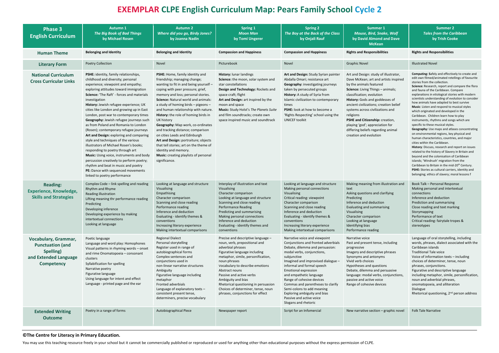### **©The Centre for Literacy in Primary Education.**

You may use this teaching resource freely in your school but it cannot be commercially published or reproduced or used for anything other than educational purposes without the express permission of CLPE.

| <b>Phase 3</b><br><b>English Curriculum</b>                                                                | <b>Autumn 1</b><br><b>The Big Book of Bad Things</b><br>by Michael Rosen                                                                                                                                                                                                                                                                                                                                                                                                                                                                                                                                                                                                                                                                                                                                                                                                          | <b>Autumn 2</b><br><b>Where did you go, Birdy Jones?</b><br>by Joanna Nadin                                                                                                                                                                                                                                                                                                                                                                                                                                                                                                                                                                              | <b>Spring 1</b><br><b>Moon Man</b><br>by Tomi Ungerer                                                                                                                                                                                                                                                                                                                                                    | <b>Spring 2</b><br>The Boy at the Back of the Class<br>by Onjali Rauf                                                                                                                                                                                                                                                                                                                                                                                           | Summer 1<br><b>Mouse, Bird, Snake, Wolf</b><br>by David Almond and Dave<br><b>McKean</b>                                                                                                                                                                                                                                                                                                                                                                     | <b>Summer 2</b><br><b>Tales from the Caribbean</b><br>by Trish Cooke                                                                                                                                                                                                                                                                                                                                                                                                                                                                                                                                                                                                                                                                                                                                                                                                                                                                                                                                                                                                                                                                             |
|------------------------------------------------------------------------------------------------------------|-----------------------------------------------------------------------------------------------------------------------------------------------------------------------------------------------------------------------------------------------------------------------------------------------------------------------------------------------------------------------------------------------------------------------------------------------------------------------------------------------------------------------------------------------------------------------------------------------------------------------------------------------------------------------------------------------------------------------------------------------------------------------------------------------------------------------------------------------------------------------------------|----------------------------------------------------------------------------------------------------------------------------------------------------------------------------------------------------------------------------------------------------------------------------------------------------------------------------------------------------------------------------------------------------------------------------------------------------------------------------------------------------------------------------------------------------------------------------------------------------------------------------------------------------------|----------------------------------------------------------------------------------------------------------------------------------------------------------------------------------------------------------------------------------------------------------------------------------------------------------------------------------------------------------------------------------------------------------|-----------------------------------------------------------------------------------------------------------------------------------------------------------------------------------------------------------------------------------------------------------------------------------------------------------------------------------------------------------------------------------------------------------------------------------------------------------------|--------------------------------------------------------------------------------------------------------------------------------------------------------------------------------------------------------------------------------------------------------------------------------------------------------------------------------------------------------------------------------------------------------------------------------------------------------------|--------------------------------------------------------------------------------------------------------------------------------------------------------------------------------------------------------------------------------------------------------------------------------------------------------------------------------------------------------------------------------------------------------------------------------------------------------------------------------------------------------------------------------------------------------------------------------------------------------------------------------------------------------------------------------------------------------------------------------------------------------------------------------------------------------------------------------------------------------------------------------------------------------------------------------------------------------------------------------------------------------------------------------------------------------------------------------------------------------------------------------------------------|
| <b>Human Theme</b>                                                                                         | <b>Belonging and Identity</b>                                                                                                                                                                                                                                                                                                                                                                                                                                                                                                                                                                                                                                                                                                                                                                                                                                                     | <b>Belonging and Identity</b>                                                                                                                                                                                                                                                                                                                                                                                                                                                                                                                                                                                                                            | <b>Compassion and Happiness</b>                                                                                                                                                                                                                                                                                                                                                                          | <b>Compassion and Happiness</b>                                                                                                                                                                                                                                                                                                                                                                                                                                 | <b>Rights and Responsibilities</b>                                                                                                                                                                                                                                                                                                                                                                                                                           | <b>Rights and Responsibilities</b>                                                                                                                                                                                                                                                                                                                                                                                                                                                                                                                                                                                                                                                                                                                                                                                                                                                                                                                                                                                                                                                                                                               |
| <b>Literary Form</b>                                                                                       | <b>Poetry Collection</b>                                                                                                                                                                                                                                                                                                                                                                                                                                                                                                                                                                                                                                                                                                                                                                                                                                                          | Novel                                                                                                                                                                                                                                                                                                                                                                                                                                                                                                                                                                                                                                                    | Picturebook                                                                                                                                                                                                                                                                                                                                                                                              | Novel                                                                                                                                                                                                                                                                                                                                                                                                                                                           | <b>Graphic Novel</b>                                                                                                                                                                                                                                                                                                                                                                                                                                         | <b>Illustrated Novel</b>                                                                                                                                                                                                                                                                                                                                                                                                                                                                                                                                                                                                                                                                                                                                                                                                                                                                                                                                                                                                                                                                                                                         |
| <b>National Curriculum</b><br><b>Cross Curricular Links</b>                                                | PSHE: identity, family relationships,<br>childhood and diversity; personal<br>experience; viewpoint and empathy;<br>exploring attitudes toward immigration<br><b>Science:</b> 'The Raft' - forces and materials<br>investigation<br>History: Jewish refugee experience; UK<br>cities like London and growing up in East<br>London, post war to contemporary times<br><b>Geography:</b> Jewish refugee journeys such<br>as from Poland and Romania to London<br>(Rosen); contemporary refugee journeys<br>Art and Design: exploring and comparing<br>style and techniques of the various<br>illustrators of Michael Rosen's books;<br>responding to poetry through art<br><b>Music:</b> Using voice, instruments and body<br>percussion creatively to perform poetry;<br>rhythm and beat in music and poetry<br>PE: Dance with sequenced movements<br>linked to poetry performance | PSHE: Home, family identity and<br>friendship; managing change;<br>wanting to fit in and being yourself -<br>coping with peer pressure; grief,<br>memory and loss; personal stories.<br><b>Science: Natural world and animals:</b><br>a study of homing birds $-$ pigeons $-$<br>and human relationship with nature<br>History: the role of homing birds in<br>UK history<br>Geography: Map work, co-ordinates<br>and tracking distance; comparison<br>on cities Leeds and Edinburgh<br>Art and Design: portraiture; objects<br>that tell stories; art on the theme of<br>identity and memory.<br>Music: creating playlists of personal<br>significance. | History: lunar landings<br>Science: the moon, solar system and<br>star constellations<br>Design and Technology: Rockets and<br>space craft; flight<br>Art and Design: art inspired by the<br>moon and space<br>Music: Study Holst's The Planets Suite<br>and film soundtracks; create own<br>space inspired music and soundtrack                                                                         | Art and Design: Study Syrian painter<br>Abdalla Omari; resistance art<br><b>Geography:</b> investigating journeys<br>taken by persecuted groups<br>History: A study of Syria from<br>Islamic civilization to contemporary<br>times<br><b>PSHE:</b> look at how to become a<br>'Rights Respecting' school using the<br><b>UNICEF toolkit</b>                                                                                                                     | Art and Design: study of illustrator,<br>Dave McKean; art and artists inspired<br>by the animals featured<br><b>Science:</b> Living Things – animals;<br>classification; evolution<br><b>History:</b> Gods and goddesses of<br>ancient civilizations; creation belief<br>systems across civilizations and<br>religions<br>PSHE and Citizenship: creation,<br>playing 'god'; appreciation for<br>differing beliefs regarding animal<br>creation and evolution | Computing: Safely and effectively to create and<br>edit own filmed/animated retellings of favourite<br>stories from the collection.<br>Science: Research, report and compare the flora<br>and fauna of the Caribbean. Compare<br>explanations in etiological stories with modern<br>scientists understanding of evolution to consider<br>how animals have adapted to best survive<br>Music: Listen and respond to musical styles<br>which originated and developed in the<br>Caribbean. Children learn how to play<br>instruments, rhythms and songs which are<br>specific to these musical styles.<br>Geography: Use maps and atlases concentrating<br>on environmental regions, key physical and<br>human characteristics, countries, and major<br>cities within the Caribbean.<br>History: Discuss, research and report on issues<br>related to the history of Slavery in Britain and<br>beyond and the colonisation of Caribbean<br>islands; 'Windrush' migration from the<br>Caribbean to Britain in the mid-20 <sup>th</sup> Century.<br>PSHE: Stories as cultural carriers, identity and<br>belonging; ethics of slavery; moral lessons f |
| <b>Reading:</b><br><b>Experience, Knowledge,</b><br><b>Skills and Strategies</b>                           | Complex Code - link spelling and reading<br>Rhythm and Rhyme<br>Reading illustration<br>Lifting meaning thr performance reading<br>Predicting<br>Developing inference<br>Developing experience by making<br>intertextual connections<br>Looking at language                                                                                                                                                                                                                                                                                                                                                                                                                                                                                                                                                                                                                       | Looking at language and structure<br>Visualising<br>Empathising<br>Character comparison<br>Scanning and close reading<br>Performance reading<br>Inference and deduction<br>Evaluating - identify themes &<br>conventions<br>Increasing literary experience<br>Making intertextual comparisons                                                                                                                                                                                                                                                                                                                                                            | Interplay of illustration and text<br>Visualising<br>Character comparison<br>Looking at language and structure<br>Scanning and close reading<br><b>Performance Reading</b><br>Predicting and summarising<br>Making personal connections<br>Inference and deduction<br>Evaluating - identify themes and<br>conventions                                                                                    | Looking at language and structure<br>Making personal connections<br>Visualising<br>Critical reading: viewpoint<br>Character comparison<br>Scanning and close reading<br>Inference and deduction<br>Evaluating - identify themes &<br>conventions<br>Increasing literary experience<br>Making intertextual comparisons                                                                                                                                           | Making meaning from illustration and<br>text<br>Asking questions and clarifying<br>Predicting<br>Inference and deduction<br>Evaluating and summarising<br>Visualising<br>Character comparison<br>Looking at language<br>Identifying bias<br>Performance reading                                                                                                                                                                                              | Book Talk - Personal Response<br>Making personal and intertextual<br>connections<br>Inference and deduction<br>Prediction and summarising<br>Close reading and text marking<br>Storymapping<br>Performance of text<br>Critical reading: fairytale tropes &<br>stereotypes                                                                                                                                                                                                                                                                                                                                                                                                                                                                                                                                                                                                                                                                                                                                                                                                                                                                        |
| Vocabulary, Grammar,<br><b>Punctuation (and</b><br>Spelling)<br>and Extended Language<br><b>Competency</b> | Poetic language<br>Language and word play: Homophones<br>Visual patterns in rhyming words - onset<br>and rime Onomatopoeia - consonant<br>clusters<br>Syllabification for spelling<br>Narrative poetry<br>Figurative language<br>Using language for intent and effect<br>Language - printed page and the ear                                                                                                                                                                                                                                                                                                                                                                                                                                                                                                                                                                      | <b>Regional Dialect</b><br>Personal storytelling<br>Register used in range of<br>autobiographical forms<br>Complex sentences and<br>conjunctions used in<br>non-linear narrative structures<br>Ambiguity<br>Figurative language including<br>metaphor<br>Fronted adverbials<br>Language of explanatory texts -<br>consistent present tense,<br>determiners, precise vocabulary                                                                                                                                                                                                                                                                           | Precise and descriptive language -<br>noun, verb, prepositional and<br>adverbial phrases<br>Figurative language including<br>metaphor, simile, personification,<br>noun phrases<br>Vocabulary to describe emotions<br>Abstract nouns<br>Passive and active verbs<br>Ambiguity and bias<br>Rhetorical questioning in persuasion<br>Choices of determiner, tense, noun<br>phrases, conjunctions for effect | Narrative voice and viewpoint<br>Conjunctions and fronted adverbials<br>Debate, dilemma and persuasion:<br>modal verbs, conjunctions,<br>subjunctive<br>Imagined and improvised dialogue -<br>informal and formal speech<br>Emotional expression<br>and empathetic language<br>Range of cohesive devices<br>Commas and parentheses to clarify<br>Semi-colons to add meaning<br>Exploring ambiguity and bias<br>Passive and active voice<br>Slogans and rhetoric | Narrative voice<br>Past and present tense, including<br>progressive<br>Imagery and descriptive phrases<br>Synonyms and antonyms<br>Vivid verb choices<br>Hypotheses and questions<br>Debate, dilemma and persuasive<br>language: modal verbs, conjunctions,<br>passive and active voice<br>Range of cohesive devices                                                                                                                                         | Language of oral storytelling, including<br>words, phrases, dialect associated with the<br>Caribbean islands<br><b>Traditional Tale voice</b><br>Voice of information texts - including<br>choices of determiner, tense, noun<br>phrases, conjunctions.<br>Figurative and descriptive language<br>including metaphor, simile, personification,<br>noun and adverbial phrases,<br>onomatopoeia, and alliteration<br>Dialogue<br>Rhetorical questioning, 2 <sup>nd</sup> person address                                                                                                                                                                                                                                                                                                                                                                                                                                                                                                                                                                                                                                                            |
| <b>Extended Writing</b><br><b>Outcome</b>                                                                  | Poetry in a range of forms                                                                                                                                                                                                                                                                                                                                                                                                                                                                                                                                                                                                                                                                                                                                                                                                                                                        | Autobiographical Piece                                                                                                                                                                                                                                                                                                                                                                                                                                                                                                                                                                                                                                   | Newspaper report                                                                                                                                                                                                                                                                                                                                                                                         | Script for an Infomercial                                                                                                                                                                                                                                                                                                                                                                                                                                       | New narrative section – graphic novel                                                                                                                                                                                                                                                                                                                                                                                                                        | <b>Folk Tale Narrative</b>                                                                                                                                                                                                                                                                                                                                                                                                                                                                                                                                                                                                                                                                                                                                                                                                                                                                                                                                                                                                                                                                                                                       |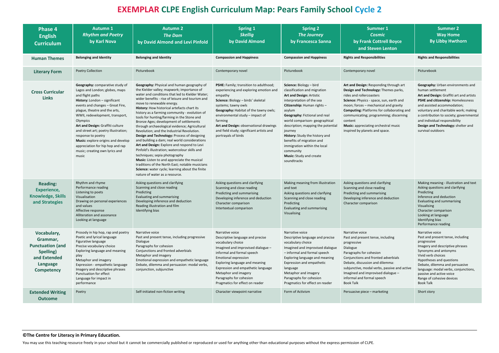### **©The Centre for Literacy in Primary Education.**

You may use this teaching resource freely in your school but it cannot be commercially published or reproduced or used for anything other than educational purposes without the express permission of CLPE.

| <b>Phase 4</b><br><b>English</b><br><b>Curriculum</b>                                                                   | <b>Autumn 1</b><br><b>Rhythm and Poetry</b><br>by Karl Nova                                                                                                                                                                                                                                                                                                                                                                                                              | <b>Autumn 2</b><br><b>The Dam</b><br>by David Almond and Levi Pinfold                                                                                                                                                                                                                                                                                                                                                                                                                                                                                                                                                                                                                                                                                                                                                                                                                                                                         | <b>Spring 1</b><br><b>Skellig</b><br>by David Almond                                                                                                                                                                                                                                                                                                         | <b>Spring 2</b><br><b>The Journey</b><br>by Francesca Sanna                                                                                                                                                                                                                                                                                                                                                                                | <b>Summer 1</b><br><b>Cosmic</b><br>by Frank Cottrell Boyce                                                                                                                                                                                                                                                                                                                                | <b>Summer 2</b><br><b>Way Home</b><br><b>By Libby Hwthorn</b>                                                                                                                                                                                                                                                                                                 |
|-------------------------------------------------------------------------------------------------------------------------|--------------------------------------------------------------------------------------------------------------------------------------------------------------------------------------------------------------------------------------------------------------------------------------------------------------------------------------------------------------------------------------------------------------------------------------------------------------------------|-----------------------------------------------------------------------------------------------------------------------------------------------------------------------------------------------------------------------------------------------------------------------------------------------------------------------------------------------------------------------------------------------------------------------------------------------------------------------------------------------------------------------------------------------------------------------------------------------------------------------------------------------------------------------------------------------------------------------------------------------------------------------------------------------------------------------------------------------------------------------------------------------------------------------------------------------|--------------------------------------------------------------------------------------------------------------------------------------------------------------------------------------------------------------------------------------------------------------------------------------------------------------------------------------------------------------|--------------------------------------------------------------------------------------------------------------------------------------------------------------------------------------------------------------------------------------------------------------------------------------------------------------------------------------------------------------------------------------------------------------------------------------------|--------------------------------------------------------------------------------------------------------------------------------------------------------------------------------------------------------------------------------------------------------------------------------------------------------------------------------------------------------------------------------------------|---------------------------------------------------------------------------------------------------------------------------------------------------------------------------------------------------------------------------------------------------------------------------------------------------------------------------------------------------------------|
|                                                                                                                         |                                                                                                                                                                                                                                                                                                                                                                                                                                                                          |                                                                                                                                                                                                                                                                                                                                                                                                                                                                                                                                                                                                                                                                                                                                                                                                                                                                                                                                               |                                                                                                                                                                                                                                                                                                                                                              |                                                                                                                                                                                                                                                                                                                                                                                                                                            | and Steven Lenton                                                                                                                                                                                                                                                                                                                                                                          |                                                                                                                                                                                                                                                                                                                                                               |
| <b>Human Themes</b>                                                                                                     | <b>Belonging and Identity</b>                                                                                                                                                                                                                                                                                                                                                                                                                                            | <b>Belonging and Identity</b>                                                                                                                                                                                                                                                                                                                                                                                                                                                                                                                                                                                                                                                                                                                                                                                                                                                                                                                 | <b>Compassion and Happiness</b>                                                                                                                                                                                                                                                                                                                              | <b>Compassion and Happiness</b>                                                                                                                                                                                                                                                                                                                                                                                                            | <b>Rights and Responsibilities</b>                                                                                                                                                                                                                                                                                                                                                         | <b>Rights and Responsibilities</b>                                                                                                                                                                                                                                                                                                                            |
| <b>Literary Form</b>                                                                                                    | Poetry Collection                                                                                                                                                                                                                                                                                                                                                                                                                                                        | Picturebook                                                                                                                                                                                                                                                                                                                                                                                                                                                                                                                                                                                                                                                                                                                                                                                                                                                                                                                                   | Contemporary novel                                                                                                                                                                                                                                                                                                                                           | Picturebook                                                                                                                                                                                                                                                                                                                                                                                                                                | Contemporary novel                                                                                                                                                                                                                                                                                                                                                                         | Picturebook                                                                                                                                                                                                                                                                                                                                                   |
| <b>Cross Curricular</b><br><b>Links</b>                                                                                 | Geography: comparative study of<br>Lagos and London; globes, maps<br>and flight paths<br>History: London - significant<br>events and changes - Great Fire,<br>plague, theatre and the arts,<br>WWII, redevelopment, transport,<br>Olympics<br>Art and Design: Graffiti culture<br>and street art; poetry illustration;<br>response to poetry<br><b>Music:</b> explore origins and develop<br>appreciation for hip hop and rap<br>music; creating own lyrics and<br>music | Geography: Physical and human geography of<br>the Kielder valley; mapwork; importance of<br>water and conditions that led to Kielder Water;<br>wider benefits - rise of leisure and tourism and<br>move to renewable energy.<br>History: How historical artefacts chart its<br>history as a farming community - evolution of<br>tools for hunting/farming in the Stone and<br>Bronze Ages; development of settlements<br>through archaeological evidence; Agricultural<br>Revolution; and the Industrial Revolution.<br>Design and Technology: Process of designing<br>and building a dam; real world considerations<br>Art and Design: Explore and respond to Levi<br>Pinfold's illustration; watercolour skills and<br>techniques; sepia photography<br>Music: Listen to and appreciate the musical<br>traditions of the North East; notable musicians<br>Science: water cycle; learning about the finite<br>nature of water as a resource. | PSHE: Family; transition to adulthood;<br>experiencing and exploring emotion and<br>empathy<br>Science: Biology - birds' skeletal<br>systems; tawny owls<br>Geography: Habitat of the tawny owls;<br>environmental study - impact of<br>farming<br>Art and Design: observational drawings<br>and field study; significant artists and<br>portrayals of birds | Science: Biology - bird<br>classification and migration<br><b>Art and Design: Artistic</b><br>interpretation of the sea<br>Citizenship: Human rights -<br>asylum<br>Geography: Fictional and real<br>world comparison- geographical<br>description; mapping the potential<br>journey<br>History: Study the history and<br>benefits of migration and<br>immigration within the local<br>community<br>Music: Study and create<br>soundtracks | Art and Design: Responding through art<br>Design and Technology: Themes parks,<br>rides and rollercoasters<br>Science: Physics - space, sun, earth and<br>moon; forces – mechanical and gravity<br><b>Computing: Platforms for collaborating and</b><br>communicating; programming; discerning<br>content<br><b>Music:</b> appreciating orchestral music<br>inspired by planets and space. | <b>Geography:</b> Urban environments and<br>human settlement<br>Art and Design: Graffiti art and artists<br>PSHE and citizenship: Homelessness<br>and assisted accommodation;<br>voluntary and charitable work; making<br>a contribution to society; governmental<br>and individual responsibility<br>Design and Technology: shelter and<br>survival outdoors |
| <b>Reading:</b><br><b>Experience,</b><br><b>Knowledge, Skills</b><br>and Strategies                                     | Rhythm and rhyme<br>Performance reading<br>Listening to poets<br>Visualisation<br>Drawing on personal experiences<br>and values<br>Affective response<br>Alliteration and assonance<br>Looking at language                                                                                                                                                                                                                                                               | Asking questions and clarifying<br>Scanning and close reading<br>Predicting<br>Evaluating and summarising<br>Developing inference and deduction<br>Reading illustration and film<br>Identifying bias                                                                                                                                                                                                                                                                                                                                                                                                                                                                                                                                                                                                                                                                                                                                          | Asking questions and clarifying<br>Scanning and close reading<br>Predicting and summarising<br>Developing inference and deduction<br>Character comparison<br>Intertextual comparison                                                                                                                                                                         | Making meaning from illustration<br>and text<br>Asking questions and clarifying<br>Scanning and close reading<br>Predicting<br>Evaluating and summarising<br>Visualising                                                                                                                                                                                                                                                                   | Asking questions and clarifying<br>Scanning and close reading<br>Predicting and summarising<br>Developing inference and deduction<br>Character comparison                                                                                                                                                                                                                                  | Making meaning - illustration and text<br>Asking questions and clarifying<br>Predicting<br>Inference and deduction<br>Evaluating and summarising<br>Visualising<br>Character comparison<br>Looking at language<br>Identifying bias<br>Performance reading                                                                                                     |
| Vocabulary,<br>Grammar,<br><b>Punctuation (and</b><br>Spelling)<br>and Extended<br><b>Language</b><br><b>Competency</b> | Prosody in hip hop, rap and poetry<br>Poetic and lyrical language<br>Figurative language<br>Precise vocabulary choice<br>Exploring language and meaning<br>play<br>Metaphor and imagery<br>Expression - empathetic language<br>Imagery and descriptive phrases<br>Punctuation for effect<br>Language for impact in<br>performance                                                                                                                                        | Narrative voice<br>Past and present tense, including progressive<br>Dialogue<br>Paragraphs for cohesion<br>Conjunctions and fronted adverbials<br>Metaphor and imagery<br>Emotional expression and empathetic language<br>Debate, dilemma and persuasion: modal verbs,<br>conjunction, subjunctive                                                                                                                                                                                                                                                                                                                                                                                                                                                                                                                                                                                                                                            | Narrative voice<br>Descriptive language and precise<br>vocabulary choice<br>Imagined and improvised dialogue -<br>informal and formal speech<br><b>Emotional expression</b><br>Exploring language and meaning<br>Expression and empathetic language<br>Metaphor and imagery<br>Paragraphs for cohesion<br>Pragmatics for effect on reader                    | Narrative voice<br>Descriptive language and precise<br>vocabulary choice<br>Imagined and improvised dialogue<br>- informal and formal speech<br>Exploring language and meaning<br>Expression and empathetic<br>language<br>Metaphor and imagery<br>Paragraphs for cohesion<br>Pragmatics for effect on reader                                                                                                                              | Narrative voice<br>Past and present tense, including<br>progressive<br>Dialogue<br>Paragraphs for cohesion<br>Conjunctions and fronted adverbials<br>Debate, discussion and dilemma:<br>subjunctive, modal verbs, passive and active<br>Imagined and improvised dialogue -<br>informal and formal speech<br><b>Book Talk</b>                                                               | Narrative voice<br>Past and present tense, including<br>progressive<br>Imagery and descriptive phrases<br>Synonyms and antonyms<br>Vivid verb choices<br>Hypotheses and questions<br>Debate, dilemma and persuasive<br>language: modal verbs, conjunctions,<br>passive and active voice<br>Range of cohesive devices<br>Book Talk                             |
| <b>Extended Writing</b><br><b>Outcome</b>                                                                               | Poetry                                                                                                                                                                                                                                                                                                                                                                                                                                                                   | Self-initiated non-fiction writing                                                                                                                                                                                                                                                                                                                                                                                                                                                                                                                                                                                                                                                                                                                                                                                                                                                                                                            | Character viewpoint narrative                                                                                                                                                                                                                                                                                                                                | Form of Activism                                                                                                                                                                                                                                                                                                                                                                                                                           | Persuasive piece - marketing                                                                                                                                                                                                                                                                                                                                                               | Short story                                                                                                                                                                                                                                                                                                                                                   |